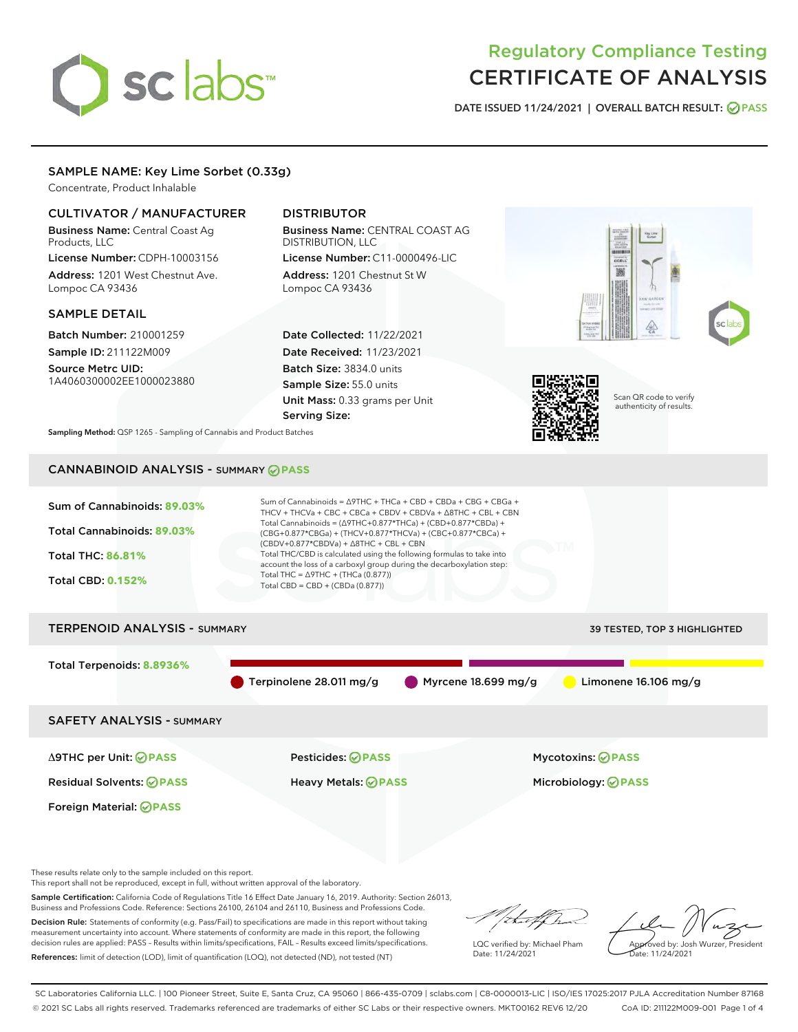# sclabs

# Regulatory Compliance Testing CERTIFICATE OF ANALYSIS

DATE ISSUED 11/24/2021 | OVERALL BATCH RESULT: @ PASS

#### SAMPLE NAME: Key Lime Sorbet (0.33g)

Concentrate, Product Inhalable

#### CULTIVATOR / MANUFACTURER

Business Name: Central Coast Ag Products, LLC License Number: CDPH-10003156

Address: 1201 West Chestnut Ave. Lompoc CA 93436

#### SAMPLE DETAIL

Batch Number: 210001259 Sample ID: 211122M009

Source Metrc UID: 1A4060300002EE1000023880

### DISTRIBUTOR

Business Name: CENTRAL COAST AG DISTRIBUTION, LLC License Number: C11-0000496-LIC

Address: 1201 Chestnut St W Lompoc CA 93436

Date Collected: 11/22/2021 Date Received: 11/23/2021 Batch Size: 3834.0 units Sample Size: 55.0 units Unit Mass: 0.33 grams per Unit Serving Size:





Scan QR code to verify authenticity of results.

Sampling Method: QSP 1265 - Sampling of Cannabis and Product Batches

## CANNABINOID ANALYSIS - SUMMARY **PASS**



Δ9THC per Unit: **PASS** Pesticides: **PASS** Mycotoxins: **PASS**

Foreign Material: **PASS**

Residual Solvents: **PASS** Heavy Metals: **PASS** Microbiology: **PASS**

These results relate only to the sample included on this report.

This report shall not be reproduced, except in full, without written approval of the laboratory.

Sample Certification: California Code of Regulations Title 16 Effect Date January 16, 2019. Authority: Section 26013, Business and Professions Code. Reference: Sections 26100, 26104 and 26110, Business and Professions Code.

Decision Rule: Statements of conformity (e.g. Pass/Fail) to specifications are made in this report without taking measurement uncertainty into account. Where statements of conformity are made in this report, the following decision rules are applied: PASS – Results within limits/specifications, FAIL – Results exceed limits/specifications. References: limit of detection (LOD), limit of quantification (LOQ), not detected (ND), not tested (NT)

that fCh

LQC verified by: Michael Pham Date: 11/24/2021

Approved by: Josh Wurzer, President ate: 11/24/2021

SC Laboratories California LLC. | 100 Pioneer Street, Suite E, Santa Cruz, CA 95060 | 866-435-0709 | sclabs.com | C8-0000013-LIC | ISO/IES 17025:2017 PJLA Accreditation Number 87168 © 2021 SC Labs all rights reserved. Trademarks referenced are trademarks of either SC Labs or their respective owners. MKT00162 REV6 12/20 CoA ID: 211122M009-001 Page 1 of 4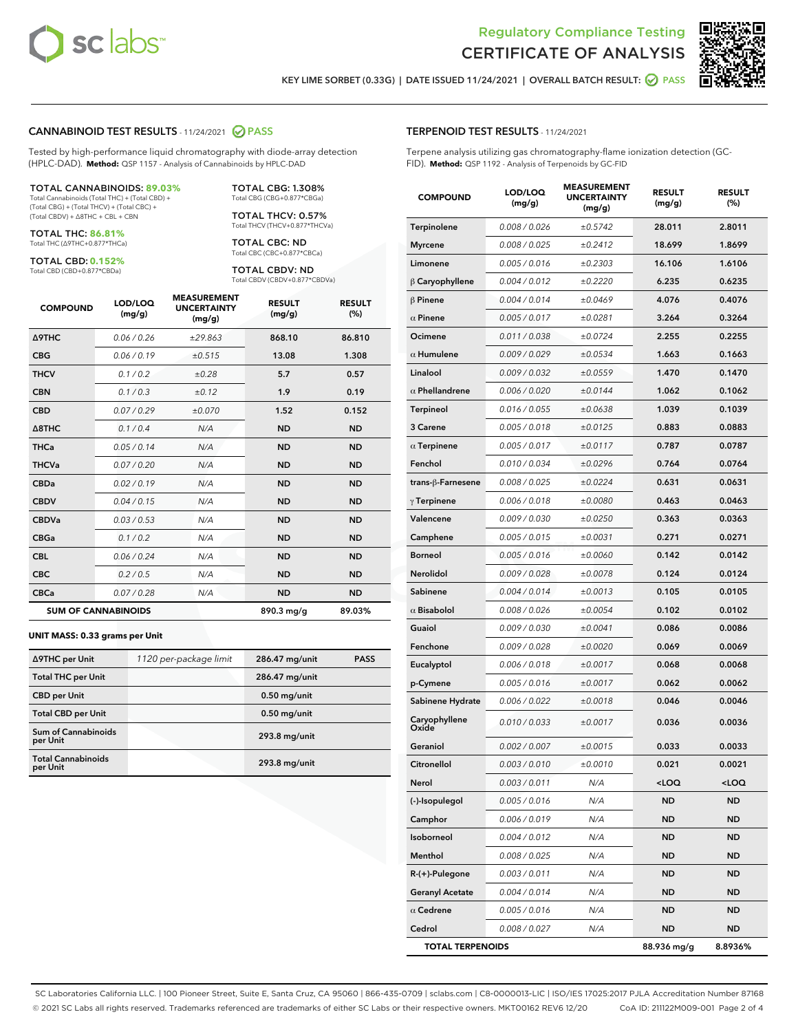



KEY LIME SORBET (0.33G) | DATE ISSUED 11/24/2021 | OVERALL BATCH RESULT: @ PASS

#### CANNABINOID TEST RESULTS - 11/24/2021 2 PASS

Tested by high-performance liquid chromatography with diode-array detection (HPLC-DAD). **Method:** QSP 1157 - Analysis of Cannabinoids by HPLC-DAD

#### TOTAL CANNABINOIDS: **89.03%**

Total Cannabinoids (Total THC) + (Total CBD) + (Total CBG) + (Total THCV) + (Total CBC) + (Total CBDV) + ∆8THC + CBL + CBN

TOTAL THC: **86.81%** Total THC (∆9THC+0.877\*THCa)

TOTAL CBD: **0.152%**

Total CBD (CBD+0.877\*CBDa)

TOTAL CBG: 1.308% Total CBG (CBG+0.877\*CBGa)

TOTAL THCV: 0.57% Total THCV (THCV+0.877\*THCVa)

TOTAL CBC: ND Total CBC (CBC+0.877\*CBCa)

TOTAL CBDV: ND Total CBDV (CBDV+0.877\*CBDVa)

| <b>COMPOUND</b>  | LOD/LOQ<br>(mg/g)          | <b>MEASUREMENT</b><br><b>UNCERTAINTY</b><br>(mg/g) | <b>RESULT</b><br>(mg/g) | <b>RESULT</b><br>(%) |
|------------------|----------------------------|----------------------------------------------------|-------------------------|----------------------|
| <b>A9THC</b>     | 0.06/0.26                  | ±29.863                                            | 868.10                  | 86.810               |
| <b>CBG</b>       | 0.06/0.19                  | ±0.515                                             | 13.08                   | 1.308                |
| <b>THCV</b>      | 0.1 / 0.2                  | ±0.28                                              | 5.7                     | 0.57                 |
| <b>CBN</b>       | 0.1/0.3                    | ±0.12                                              | 1.9                     | 0.19                 |
| <b>CBD</b>       | 0.07/0.29                  | ±0.070                                             | 1.52                    | 0.152                |
| $\triangle$ 8THC | 0.1/0.4                    | N/A                                                | <b>ND</b>               | <b>ND</b>            |
| <b>THCa</b>      | 0.05/0.14                  | N/A                                                | <b>ND</b>               | <b>ND</b>            |
| <b>THCVa</b>     | 0.07/0.20                  | N/A                                                | <b>ND</b>               | <b>ND</b>            |
| <b>CBDa</b>      | 0.02/0.19                  | N/A                                                | <b>ND</b>               | <b>ND</b>            |
| <b>CBDV</b>      | 0.04 / 0.15                | N/A                                                | <b>ND</b>               | <b>ND</b>            |
| <b>CBDVa</b>     | 0.03/0.53                  | N/A                                                | <b>ND</b>               | <b>ND</b>            |
| <b>CBGa</b>      | 0.1/0.2                    | N/A                                                | <b>ND</b>               | <b>ND</b>            |
| <b>CBL</b>       | 0.06 / 0.24                | N/A                                                | <b>ND</b>               | <b>ND</b>            |
| <b>CBC</b>       | 0.2 / 0.5                  | N/A                                                | <b>ND</b>               | <b>ND</b>            |
| <b>CBCa</b>      | 0.07/0.28                  | N/A                                                | <b>ND</b>               | <b>ND</b>            |
|                  | <b>SUM OF CANNABINOIDS</b> |                                                    | 890.3 mg/g              | 89.03%               |

#### **UNIT MASS: 0.33 grams per Unit**

| ∆9THC per Unit                         | 1120 per-package limit | 286.47 mg/unit | <b>PASS</b> |
|----------------------------------------|------------------------|----------------|-------------|
| <b>Total THC per Unit</b>              |                        | 286.47 mg/unit |             |
| <b>CBD</b> per Unit                    |                        | $0.50$ mg/unit |             |
| <b>Total CBD per Unit</b>              |                        | $0.50$ mg/unit |             |
| <b>Sum of Cannabinoids</b><br>per Unit |                        | 293.8 mg/unit  |             |
| <b>Total Cannabinoids</b><br>per Unit  |                        | 293.8 mg/unit  |             |

#### TERPENOID TEST RESULTS - 11/24/2021

Terpene analysis utilizing gas chromatography-flame ionization detection (GC-FID). **Method:** QSP 1192 - Analysis of Terpenoids by GC-FID

| <b>COMPOUND</b>         | LOD/LOQ<br>(mg/g) | <b>MEASUREMENT</b><br><b>UNCERTAINTY</b><br>(mg/g) | <b>RESULT</b><br>(mg/g)                         | <b>RESULT</b><br>(%) |
|-------------------------|-------------------|----------------------------------------------------|-------------------------------------------------|----------------------|
| Terpinolene             | 0.008 / 0.026     | ±0.5742                                            | 28.011                                          | 2.8011               |
| <b>Myrcene</b>          | 0.008 / 0.025     | ±0.2412                                            | 18.699                                          | 1.8699               |
| Limonene                | 0.005 / 0.016     | ±0.2303                                            | 16.106                                          | 1.6106               |
| $\upbeta$ Caryophyllene | 0.004 / 0.012     | ±0.2220                                            | 6.235                                           | 0.6235               |
| $\beta$ Pinene          | 0.004 / 0.014     | ±0.0469                                            | 4.076                                           | 0.4076               |
| $\alpha$ Pinene         | 0.005 / 0.017     | ±0.0281                                            | 3.264                                           | 0.3264               |
| Ocimene                 | 0.011 / 0.038     | ±0.0724                                            | 2.255                                           | 0.2255               |
| $\alpha$ Humulene       | 0.009/0.029       | ±0.0534                                            | 1.663                                           | 0.1663               |
| Linalool                | 0.009 / 0.032     | ±0.0559                                            | 1.470                                           | 0.1470               |
| $\alpha$ Phellandrene   | 0.006 / 0.020     | ±0.0144                                            | 1.062                                           | 0.1062               |
| Terpineol               | 0.016 / 0.055     | ±0.0638                                            | 1.039                                           | 0.1039               |
| 3 Carene                | 0.005 / 0.018     | ±0.0125                                            | 0.883                                           | 0.0883               |
| $\alpha$ Terpinene      | 0.005 / 0.017     | ±0.0117                                            | 0.787                                           | 0.0787               |
| Fenchol                 | 0.010 / 0.034     | ±0.0296                                            | 0.764                                           | 0.0764               |
| trans-ß-Farnesene       | 0.008 / 0.025     | ±0.0224                                            | 0.631                                           | 0.0631               |
| $\gamma$ Terpinene      | 0.006 / 0.018     | ±0.0080                                            | 0.463                                           | 0.0463               |
| Valencene               | 0.009 / 0.030     | ±0.0250                                            | 0.363                                           | 0.0363               |
| Camphene                | 0.005 / 0.015     | ±0.0031                                            | 0.271                                           | 0.0271               |
| <b>Borneol</b>          | 0.005 / 0.016     | ±0.0060                                            | 0.142                                           | 0.0142               |
| Nerolidol               | 0.009 / 0.028     | ±0.0078                                            | 0.124                                           | 0.0124               |
| Sabinene                | 0.004 / 0.014     | ±0.0013                                            | 0.105                                           | 0.0105               |
| $\alpha$ Bisabolol      | 0.008 / 0.026     | ±0.0054                                            | 0.102                                           | 0.0102               |
| Guaiol                  | 0.009 / 0.030     | ±0.0041                                            | 0.086                                           | 0.0086               |
| Fenchone                | 0.009 / 0.028     | ±0.0020                                            | 0.069                                           | 0.0069               |
| Eucalyptol              | 0.006 / 0.018     | ±0.0017                                            | 0.068                                           | 0.0068               |
| p-Cymene                | 0.005 / 0.016     | ±0.0017                                            | 0.062                                           | 0.0062               |
| Sabinene Hydrate        | 0.006 / 0.022     | ±0.0018                                            | 0.046                                           | 0.0046               |
| Caryophyllene<br>Oxide  | 0.010 / 0.033     | ±0.0017                                            | 0.036                                           | 0.0036               |
| Geraniol                | 0.002 / 0.007     | ±0.0015                                            | 0.033                                           | 0.0033               |
| Citronellol             | 0.003 / 0.010     | ±0.0010                                            | 0.021                                           | 0.0021               |
| Nerol                   | 0.003 / 0.011     | N/A                                                | <loq< th=""><th><loq< th=""></loq<></th></loq<> | <loq< th=""></loq<>  |
| (-)-Isopulegol          | 0.005 / 0.016     | N/A                                                | ND                                              | ND                   |
| Camphor                 | 0.006 / 0.019     | N/A                                                | <b>ND</b>                                       | ND                   |
| Isoborneol              | 0.004 / 0.012     | N/A                                                | <b>ND</b>                                       | <b>ND</b>            |
| Menthol                 | 0.008 / 0.025     | N/A                                                | ND                                              | ND                   |
| R-(+)-Pulegone          | 0.003 / 0.011     | N/A                                                | <b>ND</b>                                       | ND                   |
| <b>Geranyl Acetate</b>  | 0.004 / 0.014     | N/A                                                | <b>ND</b>                                       | <b>ND</b>            |
| $\alpha$ Cedrene        | 0.005 / 0.016     | N/A                                                | ND                                              | ND                   |
| Cedrol                  | 0.008 / 0.027     | N/A                                                | <b>ND</b>                                       | ND                   |
| <b>TOTAL TERPENOIDS</b> |                   |                                                    | 88.936 mg/g                                     | 8.8936%              |

SC Laboratories California LLC. | 100 Pioneer Street, Suite E, Santa Cruz, CA 95060 | 866-435-0709 | sclabs.com | C8-0000013-LIC | ISO/IES 17025:2017 PJLA Accreditation Number 87168 © 2021 SC Labs all rights reserved. Trademarks referenced are trademarks of either SC Labs or their respective owners. MKT00162 REV6 12/20 CoA ID: 211122M009-001 Page 2 of 4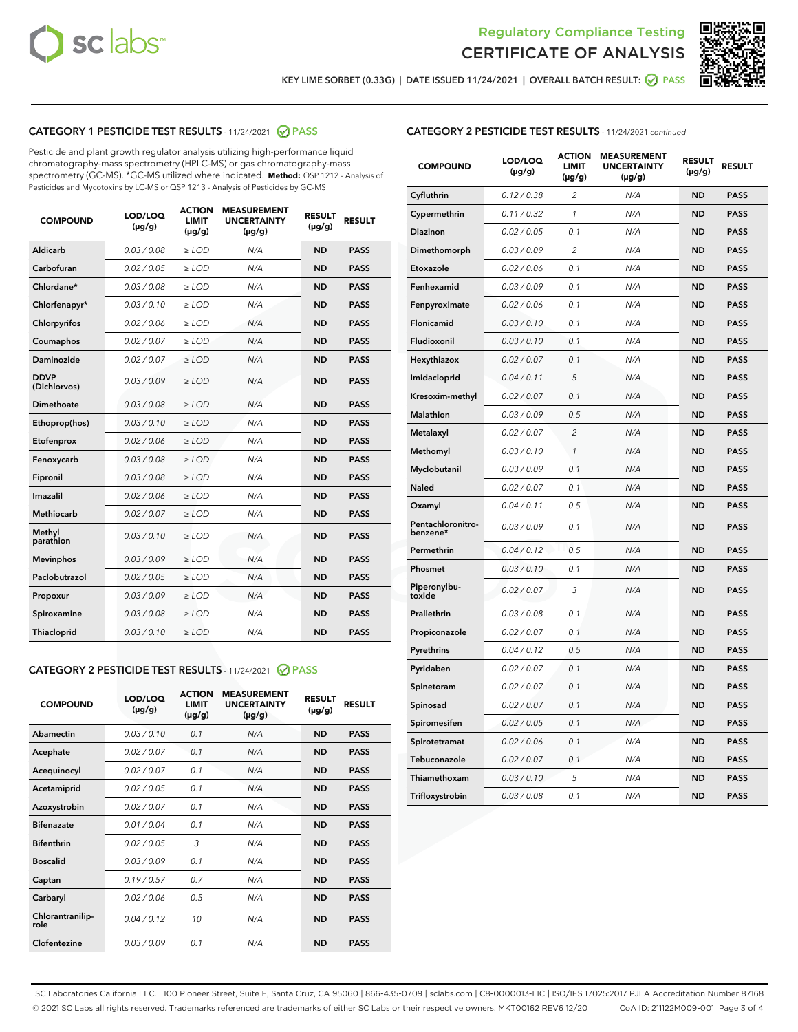



KEY LIME SORBET (0.33G) | DATE ISSUED 11/24/2021 | OVERALL BATCH RESULT: @ PASS

#### CATEGORY 1 PESTICIDE TEST RESULTS - 11/24/2021 2 PASS

Pesticide and plant growth regulator analysis utilizing high-performance liquid chromatography-mass spectrometry (HPLC-MS) or gas chromatography-mass spectrometry (GC-MS). \*GC-MS utilized where indicated. **Method:** QSP 1212 - Analysis of Pesticides and Mycotoxins by LC-MS or QSP 1213 - Analysis of Pesticides by GC-MS

| <b>COMPOUND</b>             | LOD/LOQ<br>$(\mu g/g)$ | <b>ACTION</b><br><b>LIMIT</b><br>$(\mu g/g)$ | <b>MEASUREMENT</b><br><b>UNCERTAINTY</b><br>$(\mu g/g)$ | <b>RESULT</b><br>$(\mu g/g)$ | <b>RESULT</b> |
|-----------------------------|------------------------|----------------------------------------------|---------------------------------------------------------|------------------------------|---------------|
| Aldicarb                    | 0.03 / 0.08            | $\geq$ LOD                                   | N/A                                                     | <b>ND</b>                    | <b>PASS</b>   |
| Carbofuran                  | 0.02 / 0.05            | $>$ LOD                                      | N/A                                                     | <b>ND</b>                    | <b>PASS</b>   |
| Chlordane*                  | 0.03 / 0.08            | $\ge$ LOD                                    | N/A                                                     | <b>ND</b>                    | <b>PASS</b>   |
| Chlorfenapyr*               | 0.03/0.10              | $>$ LOD                                      | N/A                                                     | <b>ND</b>                    | <b>PASS</b>   |
| Chlorpyrifos                | 0.02 / 0.06            | ≥ LOD                                        | N/A                                                     | <b>ND</b>                    | <b>PASS</b>   |
| Coumaphos                   | 0.02 / 0.07            | $\ge$ LOD                                    | N/A                                                     | <b>ND</b>                    | <b>PASS</b>   |
| Daminozide                  | 0.02 / 0.07            | $\geq$ LOD                                   | N/A                                                     | <b>ND</b>                    | <b>PASS</b>   |
| <b>DDVP</b><br>(Dichlorvos) | 0.03/0.09              | $\geq$ LOD                                   | N/A                                                     | <b>ND</b>                    | <b>PASS</b>   |
| Dimethoate                  | 0.03 / 0.08            | $>$ LOD                                      | N/A                                                     | <b>ND</b>                    | <b>PASS</b>   |
| Ethoprop(hos)               | 0.03/0.10              | $\ge$ LOD                                    | N/A                                                     | <b>ND</b>                    | <b>PASS</b>   |
| Etofenprox                  | 0.02 / 0.06            | $>$ LOD                                      | N/A                                                     | <b>ND</b>                    | <b>PASS</b>   |
| Fenoxycarb                  | 0.03 / 0.08            | $\geq$ LOD                                   | N/A                                                     | <b>ND</b>                    | <b>PASS</b>   |
| Fipronil                    | 0.03/0.08              | $>$ LOD                                      | N/A                                                     | <b>ND</b>                    | <b>PASS</b>   |
| Imazalil                    | 0.02 / 0.06            | $\geq$ LOD                                   | N/A                                                     | <b>ND</b>                    | <b>PASS</b>   |
| <b>Methiocarb</b>           | 0.02 / 0.07            | $\ge$ LOD                                    | N/A                                                     | <b>ND</b>                    | <b>PASS</b>   |
| Methyl<br>parathion         | 0.03/0.10              | $\geq$ LOD                                   | N/A                                                     | <b>ND</b>                    | <b>PASS</b>   |
| <b>Mevinphos</b>            | 0.03/0.09              | $>$ LOD                                      | N/A                                                     | <b>ND</b>                    | <b>PASS</b>   |
| Paclobutrazol               | 0.02 / 0.05            | $\geq$ LOD                                   | N/A                                                     | <b>ND</b>                    | <b>PASS</b>   |
| Propoxur                    | 0.03/0.09              | $\ge$ LOD                                    | N/A                                                     | <b>ND</b>                    | <b>PASS</b>   |
| Spiroxamine                 | 0.03 / 0.08            | $\ge$ LOD                                    | N/A                                                     | <b>ND</b>                    | <b>PASS</b>   |
| Thiacloprid                 | 0.03/0.10              | $\geq$ LOD                                   | N/A                                                     | <b>ND</b>                    | <b>PASS</b>   |

#### CATEGORY 2 PESTICIDE TEST RESULTS - 11/24/2021 @ PASS

| <b>COMPOUND</b>          | LOD/LOQ<br>$(\mu g/g)$ | <b>ACTION</b><br>LIMIT<br>$(\mu g/g)$ | <b>MEASUREMENT</b><br><b>UNCERTAINTY</b><br>$(\mu g/g)$ | <b>RESULT</b><br>$(\mu g/g)$ | <b>RESULT</b> |
|--------------------------|------------------------|---------------------------------------|---------------------------------------------------------|------------------------------|---------------|
| Abamectin                | 0.03/0.10              | 0.1                                   | N/A                                                     | <b>ND</b>                    | <b>PASS</b>   |
| Acephate                 | 0.02/0.07              | 0.1                                   | N/A                                                     | <b>ND</b>                    | <b>PASS</b>   |
| Acequinocyl              | 0.02/0.07              | 0.1                                   | N/A                                                     | <b>ND</b>                    | <b>PASS</b>   |
| Acetamiprid              | 0.02/0.05              | 0.1                                   | N/A                                                     | <b>ND</b>                    | <b>PASS</b>   |
| Azoxystrobin             | 0.02/0.07              | 0.1                                   | N/A                                                     | <b>ND</b>                    | <b>PASS</b>   |
| <b>Bifenazate</b>        | 0.01 / 0.04            | 0.1                                   | N/A                                                     | <b>ND</b>                    | <b>PASS</b>   |
| <b>Bifenthrin</b>        | 0.02/0.05              | 3                                     | N/A                                                     | <b>ND</b>                    | <b>PASS</b>   |
| <b>Boscalid</b>          | 0.03/0.09              | 0.1                                   | N/A                                                     | <b>ND</b>                    | <b>PASS</b>   |
| Captan                   | 0.19/0.57              | 0.7                                   | N/A                                                     | <b>ND</b>                    | <b>PASS</b>   |
| Carbaryl                 | 0.02/0.06              | 0.5                                   | N/A                                                     | <b>ND</b>                    | <b>PASS</b>   |
| Chlorantranilip-<br>role | 0.04/0.12              | 10                                    | N/A                                                     | <b>ND</b>                    | <b>PASS</b>   |
| Clofentezine             | 0.03/0.09              | 0.1                                   | N/A                                                     | <b>ND</b>                    | <b>PASS</b>   |

| <b>COMPOUND</b>               | LOD/LOQ<br>(µg/g) | <b>ACTION</b><br><b>LIMIT</b><br>$(\mu g/g)$ | <b>MEASUREMENT</b><br><b>UNCERTAINTY</b><br>$(\mu g/g)$ | <b>RESULT</b><br>(µg/g) | <b>RESULT</b> |
|-------------------------------|-------------------|----------------------------------------------|---------------------------------------------------------|-------------------------|---------------|
| Cyfluthrin                    | 0.12 / 0.38       | $\overline{\mathcal{L}}$                     | N/A                                                     | <b>ND</b>               | <b>PASS</b>   |
| Cypermethrin                  | 0.11 / 0.32       | $\mathcal{I}$                                | N/A                                                     | <b>ND</b>               | <b>PASS</b>   |
| Diazinon                      | 0.02 / 0.05       | 0.1                                          | N/A                                                     | <b>ND</b>               | <b>PASS</b>   |
| Dimethomorph                  | 0.03 / 0.09       | 2                                            | N/A                                                     | <b>ND</b>               | <b>PASS</b>   |
| Etoxazole                     | 0.02 / 0.06       | 0.1                                          | N/A                                                     | <b>ND</b>               | <b>PASS</b>   |
| Fenhexamid                    | 0.03 / 0.09       | 0.1                                          | N/A                                                     | <b>ND</b>               | <b>PASS</b>   |
| Fenpyroximate                 | 0.02 / 0.06       | 0.1                                          | N/A                                                     | <b>ND</b>               | <b>PASS</b>   |
| Flonicamid                    | 0.03 / 0.10       | 0.1                                          | N/A                                                     | <b>ND</b>               | <b>PASS</b>   |
| Fludioxonil                   | 0.03 / 0.10       | 0.1                                          | N/A                                                     | <b>ND</b>               | <b>PASS</b>   |
| Hexythiazox                   | 0.02 / 0.07       | 0.1                                          | N/A                                                     | <b>ND</b>               | <b>PASS</b>   |
| Imidacloprid                  | 0.04 / 0.11       | 5                                            | N/A                                                     | <b>ND</b>               | <b>PASS</b>   |
| Kresoxim-methyl               | 0.02 / 0.07       | 0.1                                          | N/A                                                     | <b>ND</b>               | <b>PASS</b>   |
| Malathion                     | 0.03 / 0.09       | 0.5                                          | N/A                                                     | <b>ND</b>               | <b>PASS</b>   |
| Metalaxyl                     | 0.02 / 0.07       | $\overline{2}$                               | N/A                                                     | <b>ND</b>               | <b>PASS</b>   |
| Methomyl                      | 0.03 / 0.10       | 1                                            | N/A                                                     | <b>ND</b>               | <b>PASS</b>   |
| Myclobutanil                  | 0.03 / 0.09       | 0.1                                          | N/A                                                     | <b>ND</b>               | <b>PASS</b>   |
| Naled                         | 0.02 / 0.07       | 0.1                                          | N/A                                                     | <b>ND</b>               | <b>PASS</b>   |
| Oxamyl                        | 0.04 / 0.11       | 0.5                                          | N/A                                                     | <b>ND</b>               | <b>PASS</b>   |
| Pentachloronitro-<br>benzene* | 0.03 / 0.09       | 0.1                                          | N/A                                                     | <b>ND</b>               | <b>PASS</b>   |
| Permethrin                    | 0.04 / 0.12       | 0.5                                          | N/A                                                     | <b>ND</b>               | <b>PASS</b>   |
| Phosmet                       | 0.03/0.10         | 0.1                                          | N/A                                                     | <b>ND</b>               | <b>PASS</b>   |
| Piperonylbu-<br>toxide        | 0.02 / 0.07       | 3                                            | N/A                                                     | <b>ND</b>               | <b>PASS</b>   |
| Prallethrin                   | 0.03 / 0.08       | 0.1                                          | N/A                                                     | <b>ND</b>               | <b>PASS</b>   |
| Propiconazole                 | 0.02 / 0.07       | 0.1                                          | N/A                                                     | <b>ND</b>               | <b>PASS</b>   |
| Pyrethrins                    | 0.04 / 0.12       | 0.5                                          | N/A                                                     | <b>ND</b>               | <b>PASS</b>   |
| Pyridaben                     | 0.02 / 0.07       | 0.1                                          | N/A                                                     | <b>ND</b>               | <b>PASS</b>   |
| Spinetoram                    | 0.02 / 0.07       | 0.1                                          | N/A                                                     | <b>ND</b>               | <b>PASS</b>   |
| Spinosad                      | 0.02 / 0.07       | 0.1                                          | N/A                                                     | ND                      | <b>PASS</b>   |
| Spiromesifen                  | 0.02 / 0.05       | 0.1                                          | N/A                                                     | <b>ND</b>               | <b>PASS</b>   |
| Spirotetramat                 | 0.02 / 0.06       | 0.1                                          | N/A                                                     | <b>ND</b>               | <b>PASS</b>   |
| Tebuconazole                  | 0.02 / 0.07       | 0.1                                          | N/A                                                     | <b>ND</b>               | <b>PASS</b>   |
| Thiamethoxam                  | 0.03 / 0.10       | 5                                            | N/A                                                     | <b>ND</b>               | <b>PASS</b>   |
| Trifloxystrobin               | 0.03 / 0.08       | 0.1                                          | N/A                                                     | ND                      | <b>PASS</b>   |

SC Laboratories California LLC. | 100 Pioneer Street, Suite E, Santa Cruz, CA 95060 | 866-435-0709 | sclabs.com | C8-0000013-LIC | ISO/IES 17025:2017 PJLA Accreditation Number 87168 © 2021 SC Labs all rights reserved. Trademarks referenced are trademarks of either SC Labs or their respective owners. MKT00162 REV6 12/20 CoA ID: 211122M009-001 Page 3 of 4